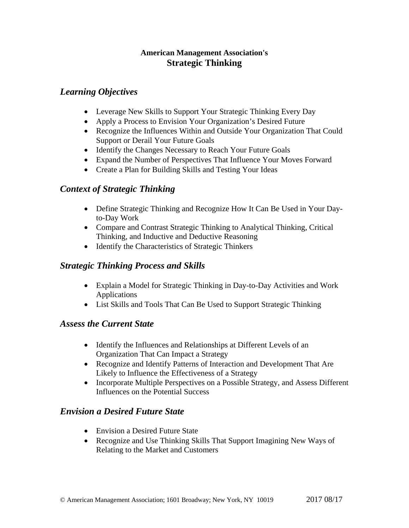#### **American Management Association's Strategic Thinking**

#### *Learning Objectives*

- Leverage New Skills to Support Your Strategic Thinking Every Day
- Apply a Process to Envision Your Organization's Desired Future
- Recognize the Influences Within and Outside Your Organization That Could Support or Derail Your Future Goals
- Identify the Changes Necessary to Reach Your Future Goals
- Expand the Number of Perspectives That Influence Your Moves Forward
- Create a Plan for Building Skills and Testing Your Ideas

# *Context of Strategic Thinking*

- Define Strategic Thinking and Recognize How It Can Be Used in Your Dayto-Day Work
- Compare and Contrast Strategic Thinking to Analytical Thinking, Critical Thinking, and Inductive and Deductive Reasoning
- Identify the Characteristics of Strategic Thinkers

# *Strategic Thinking Process and Skills*

- Explain a Model for Strategic Thinking in Day-to-Day Activities and Work Applications
- List Skills and Tools That Can Be Used to Support Strategic Thinking

# *Assess the Current State*

- Identify the Influences and Relationships at Different Levels of an Organization That Can Impact a Strategy
- Recognize and Identify Patterns of Interaction and Development That Are Likely to Influence the Effectiveness of a Strategy
- Incorporate Multiple Perspectives on a Possible Strategy, and Assess Different Influences on the Potential Success

# *Envision a Desired Future State*

- Envision a Desired Future State
- Recognize and Use Thinking Skills That Support Imagining New Ways of Relating to the Market and Customers